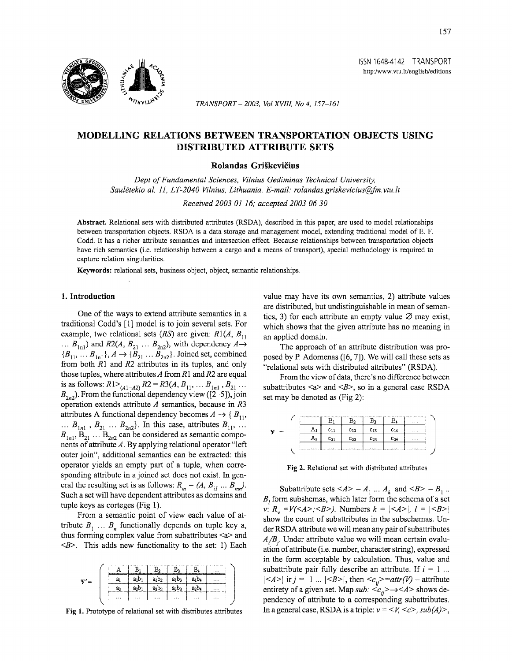

ISSN 1648-4142 TRANSPORT http:/www.vtu.lt/english/editions

*TRANSPORT- 2003, Vol XVIII, No 4, 157-161* 

# MODELLING RELATIONS BETWEEN TRANSPORTATION OBJECTS USING DISTRIBUTED ATTRIBUTE SETS

#### Rolandas Griškevičius

*Dept of Fundamental Sciences, Vilnius Gediminas Technical University, Sauletekio al. 11, LT-2040 Vilnius, Lithuania. E-mail: rolandas.griskevicius@fm.vtu.lt* 

*Received 2003 OJ 16; accepted 2003 06 30* 

Abstract. Relational sets with distributed attributes (RSDA), described in this paper, are used to model relationships between transportation objects. RSDA is a data storage and management model, extending traditional model of E. F. Codd. It has a richer attribute semantics and intersection effect. Because relationships between transportation objects have rich semantics (i.e. relationship between a cargo and a means of transport), special methodology is required to capture relation singularities.

Keywords: relational sets, business object, object, semantic relationships.

# 1. Introduction

One of the ways to extend attribute semantics in a traditional Codd's [1] model is to join several sets. For example, two relational sets  $(RS)$  are given:  $R1(A, B<sub>11</sub>)$  $\ldots$  B<sub>1n1</sub>) and R2(A, B<sub>21</sub>  $\ldots$  B<sub>2n2</sub>), with dependency A $\rightarrow$  ${B_{11}, \ldots B_{1n}}$ ,  $A \rightarrow {B_{21} \ldots B_{2n2}}$ . Joined set, combined from both *R*1 and *R2* attributes in its tuples, and only those tuples, where attributes  $A$  from  $R1$  and  $R2$  are equal is as follows:  $R1>_{(A1=A2)} R2 = R3(A, B_{11}, \dots B_{1n1}, B_{21} \dots)$  $B_{2n2}$ ). From the functional dependency view ([2-5]), join operation extends attribute  $A$  semantics, because in  $R3$ attributes A functional dependency becomes  $A \rightarrow \{B_{11},\}$  $B_{1n1}$ ,  $B_{21}$   $\ldots$   $B_{2n2}$ . In this case, attributes  $B_{11}$ ,  $\ldots$  $B_{1n}$ ,  $\overline{B}_{21}$  ...  $\overline{B}_{2n2}$  can be considered as semantic components of attribute A. By applying relational operator "left outer join", additional semantics can be extracted: this operator yields an empty part of a tuple, when corresponding attribute in a joined set does not exist. In general the resulting set is as follows:  $R_m = (A, B_i, \dots, B_m)$ . Such a set will have dependent attributes as domains and tuple keys as corteges (Fig 1).

From a semantic point of view each value of attribute  $B_1 \ldots B_n$  functionally depends on tuple key a, thus forming complex value from subattributes  $\leq a$  and *<B>.* This adds new functionality to the set: 1) Each

|                                                                       | a۱ |   |                                 |  |  |
|-----------------------------------------------------------------------|----|---|---------------------------------|--|--|
|                                                                       |    |   |                                 |  |  |
|                                                                       |    | . | the contract of the contract of |  |  |
|                                                                       |    |   |                                 |  |  |
| <b>Fig 1.</b> Prototype of relational set with distributes attributes |    |   |                                 |  |  |

value may have its own semantics, 2) attribute values are distributed, but undistinguishable in mean of semantics, 3) for each attribute an empty value  $\varnothing$  may exist, which shows that the given attribute has no meaning in an applied domain.

The approach of an attribute distribution was proposed by P. Adomenas ([6, 7]). We will call these sets as "relational sets with distributed attributes" (RSDA).

From the view of data, there's no difference between subattributes  $\langle a \rangle$  and  $\langle B \rangle$ , so in a general case RSDA set may be denoted as (Fig 2):

|  |                                            |          | <b>Collect Wind</b> | state to the company's and state that a constraint the | <b>CONTRACTOR CONTRACTOR CONTRACTOR CONTRACTOR</b> | $\cdots$                           |
|--|--------------------------------------------|----------|---------------------|--------------------------------------------------------|----------------------------------------------------|------------------------------------|
|  |                                            | $c_{11}$ | $c_{12}$            | $C_{13}$                                               | C <sub>14</sub>                                    | $\cdots$                           |
|  | - 2                                        | $c_{21}$ | C <sub>22</sub>     | $c_{23}$                                               | $c_{24}$                                           | $\cdots$                           |
|  | $\cdots$<br>Therefore shake statistics are | $\cdots$ | $\cdots$            | $\cdots$                                               | $\cdots$                                           | $\cdots$<br>and with a selected to |

Fig 2. Relational set with distributed attributes

Subattribute sets  $\langle A \rangle = A_1 ... A_k$  and  $\langle B \rangle = B_1 ...$ B*1* form subshemas, which later form the schema of a set v:  $R_v = V(\leq A > \leq B >)$ . Numbers  $k = |\leq A > |, l = |\leq B >$ show the count of subattributes in the subschemas. Under RSDA attribute we will mean any pair of subattributes *A/B<sub>i</sub>*. Under attribute value we will mean certain evaluation of attribute (i.e. number, character string), expressed in the form acceptable by calculation. Thus, value and subattribute pair fully describe an attribute. If  $i = 1$  ...  $|\langle A \rangle|$  ir  $j = 1$  ...  $|\langle B \rangle|$ , then  $\langle c_{ij} \rangle = \text{attr}(V)$  – attribute entirety of a given set. Map  $sub: < c_{ii} > \rightarrow < A >$  shows dependency of attribute to a corresponding subattributes . In a general case, RSDA is a triple:  $v = \langle V, \langle c \rangle$ ,  $sub(A)$ ,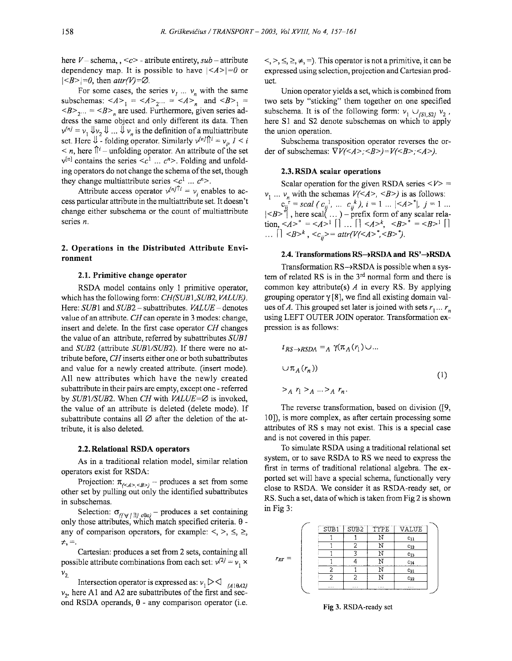here  $V$ -schema,  $\langle \langle c \rangle$  - atribute entirety,  $\delta$ *ub* - attribute dependency map. It is possible to have  $| \leq A \geq | = 0$  or  $|\langle B \rangle| = 0$ , then *attr(V)*= $\varnothing$ .

For some cases, the series  $v_1 \dots v_n$  with the same subschemas:  $\langle A \rangle_1 = \langle A \rangle_2 ... = \langle A \rangle_n$  and  $\langle B \rangle_1 =$  $\langle B \rangle$ <sub>2</sub>... =  $\langle B \rangle$ <sub>n</sub> are used. Furthermore, given series address the same object and only different its data. Then  $v^{[n]} = v_1 \Downarrow v_2 \Downarrow ... \Downarrow v_n$  is the definition of a multiattribute set. Here  $\downarrow$  - folding operator. Similarly  $v^{[n]}$ <sup> $\parallel$ *i*</sup> =  $v_i$ ,  $1 < i$  $\leq n$ , here  $\hat{\mathbb{I}}^i$  – unfolding operator. An attribute of the set  $v^{[n]}$  contains the series  $\leq c^1$  ...  $c^n$ >. Folding and unfolding operators do not change the schema of the set, though they change multiattribute series  $\langle c^1 ... c^n \rangle$ .

Attribute access operator  $v^{[n]}\hat{\mathcal{I}}_i = v_i$  enables to access particular attribute in the multiattribute set. It doesn't change either subschema or the count of multiattribute series *n*.

# 2. Operations in the Distributed Attribute Environment

#### 2.1. Primitive change operator

RSDA model contains only 1 primitive operator, which has the following form: *CH(SUBJ,SUB2, VALUE).*  Here: *SUBl* and *SUB2-* subattributes. *VALUE-* denotes value of an attribute. *CH* can operate in 3 modes: change, insert and delete. In the first case operator *CH* changes the value of an attribute, referred by subattributes *SUBJ*  and *SUB2* (attribute *SUB1/SUB2).* If there were no attribute before, *CH* inserts either one or both subattributes and value for a newly created attribute. (insert mode). All new attributes which have the newly created subattribute in their pairs are empty, except one - referred by *SUB11SUB2.* When CHwith *VALUE=0* is invoked, the value of an attribute is deleted (delete mode). If subattribute contains all  $\varnothing$  after the deletion of the attribute, it is also deleted.

#### 2.2. Relational RSDA operators

As in a traditional relation model, similar relation operators exist for RSDA:

Projection:  $\pi_{\langle \langle A \rangle, \langle B \rangle}$  – produces a set from some other set by pulling out only the identified subattributes in subschemas.

Selection:  $\sigma_{(\{\forall\}), g}$  *cea)* – produces a set containing only those attributes, which match specified criteria. 8 any of comparison operators, for example:  $\leq, \geq, \leq, \geq, \leq$  $\neq, \equiv$ .

Cartesian: produces a set from 2 sets, containing all possible attribute combinations from each set:  $v^{2} = v_1 \times$ 

Intersection operator is expressed as:  $v_1 \triangleright \triangleleft$   $\{A10A2\}$  $v_2$ , here A1 and A2 are subattributes of the first and second RSDA operands,  $\theta$  - any comparison operator (i.e.  $\langle \rangle, \langle \rangle, \leq, \geq, \neq, \equiv$ ). This operator is not a primitive, it can be expressed using selection, projection and Cartesian product.

Union operator yields a set, which is combined from two sets by "sticking" them together on one specified subschema. It is of the following form:  $v_1 \cup_{\{S_1,S_2\}} v_2$ , here S1 and S2 denote subschemas on which to apply the union operation.

Subschema transposition operator reverses the order of subschemas:  $\nabla V \langle \langle A \rangle, \langle B \rangle = V \langle \langle B \rangle, \langle A \rangle$ .

#### 2.3. RSDA scalar operations

Scalar operation for the given RSDA series  $\langle V \rangle$  =  $v_1 \dots v_n$  with the schemas  $V(\leq A > \leq B >)$  is as follows:  $c_{ii}^{i}$  = *scal* (  $c_{ii}^{1}$ , ...  $c_{ii}^{k}$ ),  $i = 1$  ...  $\left| \langle A \rangle^{*} \right|$ ,  $j = 1$  ...  $\left| \langle B \rangle^* \right|$ , here scal( ... ) – prefix form of any scalar relation,  $\langle A \rangle^* = \langle A \rangle^1 \cap ... \cap \langle A \rangle^k$ ,  $\langle B \rangle^* = \langle B \rangle^1 \cap \langle A \rangle^k$  $\therefore$   $\bigcap$  <B>k, <c<sub>ii</sub>> = attr(V(<A>\*,<B>\*).

### 2.4. Transformations  $RS\rightarrow RSDA$  and  $RS'\rightarrow RSDA$

Transformation  $RS \rightarrow RSDA$  is possible when a system of related RS is in the  $3<sup>rd</sup>$  normal form and there is common key attribute(s) *A* in every RS. By applying grouping operator  $\gamma$  [8], we find all existing domain values of *A*. This grouped set later is joined with sets  $r_1... r_n$ using LEFT OUTER JOIN operator. Transformation expression is as follows:

$$
t_{RS \to RSDA} =_A \gamma(\pi_A(r_1) \cup ...
$$
  

$$
\cup \pi_A(r_n))
$$
  

$$
>_A r_1 >_A ... >_A r_n.
$$
 (1)

The reverse transformation, based on division ([9, 10]), is more complex, as after certain processing some attributes of RS s may not exist. This is a special case and is not covered in this paper.

To simulate RSDA using a traditional relational set system, or to save RSDA to RS we need to express the first in terms of traditional relational algebra. The exported set will have a special schema, functionally very close to RSDA. We consider it as RSDA-ready set, or RS. Such a set, data of which is taken from Fig 2 is shown in Fig 3:



Fig 3. RSDA-ready set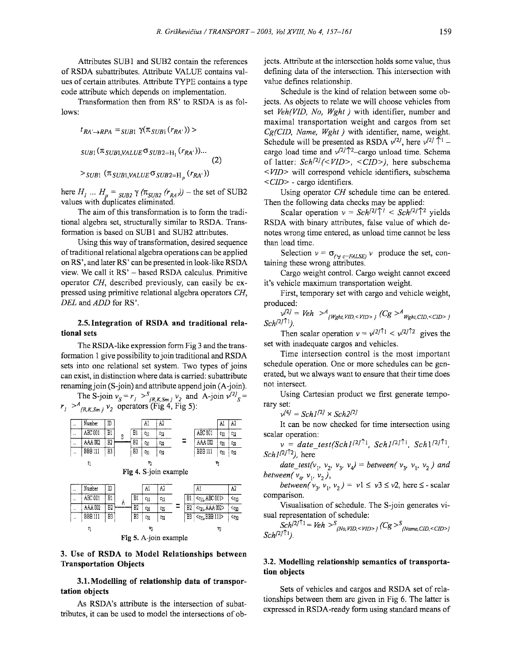Attributes SUB1 and SUB2 contain the references of RSDA subattributes. Attribute VALUE contains values of certain attributes. Attribute TYPE contains a type code attribute which depends on implementation.

Transformation then from RS' to RSDA is as follows:

$$
t_{RA' \to RPA} = SUB_1 \gamma(\pi_{SUB1}(r_{RA'})) >
$$
  
\n
$$
SUB_1(\pi_{SUB1, VALUE} \sigma_{SUB2=H_1}(r_{RA'}))...
$$
  
\n
$$
>> SUB_1 (\pi_{SUB1, VALUE} \sigma_{SUB2=H_n}(r_{RA'}))
$$
  
\n(2)

here  $H_I$  ...  $H_p = \frac{SUB2}{SUB2} (\mathcal{F}_{RA} t) -$  the set of SUB2 values with duplicates eliminated.

The aim of this transformation is to form the traditiona! algebra set, structurally similar to RSDA. Transformation is based on SUB1 and SUB2 attributes.

Using this way of transformation, desired sequence of traditional relational algebra operations can be applied on RS', and later RS' can be presented in look-like RSDA view. We call it  $RS'$  – based RSDA calculus. Primitive operator *CH,* described previously, can easily be expressed using primitive relational algebra operators *CH, DEL* and *ADD* for RS '.

# 2.5.Integration of RSDA and traditional relational sets

The RSDA-like expression form Fig 3 and the transformation 1 give possibility to join traditional and RSDA sets into one relational set system. Two types of joins can exist, in distinction where data is carried: subattribute renaming join (S-join) and attribute append join (A-join).

The S-join  $v_s = r_1 > s_{R,K,Sm}$  *v*<sub>2</sub> and A-join  $v^{2/3}$   $s =$  $r_1 > A_{(R,K,Sm)} v_2$  operators (Fig 4, Fig 5):





 $\eta$ 

# 3. Use of RSDA to Model Relationships between Transportation Objects

# 3.1. Modelling of relationship data of transportation objects

As RSDA's attribute is the intersection of subattributes, it can be used to model the intersections of objects. Attribute at the intersection holds some value, thus defining data of the intersection. This intersection with value defmes relationship.

Schedule is the kind of relation between some objects. As objects to relate we will choose vehicles from set *Veh(VID, No, Wght)* with identifier, number and maximal transportation weight and cargos from set *Cg(CID, Name, Wght)* with identifier, name, weight. Schedule will be presented as RSDA  $v^{2}$ , here  $v^{2}$   $\uparrow$ <sup>1</sup>. cargo load time and  $v^{2}$ <sup> $\uparrow$ 2</sup> -cargo unload time. Schema of latter: *Schf2 l(<VID>, <CJD>),* here subschema < VID> will correspond vehicle identifiers, subschema *<CJD>* -cargo identifiers.

Using operator *CH* schedule time can be entered. Then the following data checks may be applied:

Scalar operation  $v = Sch^{[2]} \hat{1}^l < Sch^{[2]} \hat{1}^2$  yields RSDA with binary attributes, false value of which denotes wrong time entered, as unload time cannot be less than load time.

Selection  $v = \sigma_{(v \sigma_c = F A L S E)} v$  produce the set, containing these wrong attributes.

Cargo weight control. Cargo weight cannot exceed it's vehicle maximum transportation weight.

First, temporary set with cargo and vehicle weight, produced:

$$
v^{[2]} = Veh \rightarrow^{A}_{\{Wght,VID,\}} (Cg \rightarrow^{A} w_{ght,CID,} Sch^{[2] \uparrow 1}).
$$

Then scalar operation  $v = v^{2} / (1 - v^{2})$  gives the set with inadequate cargos and vehicles.

Time intersection control is the most important schedule operation. One or more schedules can be generated, but we always want to ensure that their time does not intersect.

Using Cartesian product we first generate temporary set:

$$
v^{[4]}=SchI^{[2]}\times Sch2^{[2]}
$$

It can be now checked for time intersection using scalar operation:

 $v = date$  test(Sch1<sup>[2]†1</sup>, Sch1<sup>[2]†1</sup>, Sch<sup>1[2]†1</sup>, *SchJf2l12),* here

 $date\_test(v_1, v_2, v_3, v_4) = between(v_3, v_1, v_2)$  and *between*( $v_4$ ,  $v_1$ ,  $v_2$ ),

*between(* $v_3$ ,  $v_1$ ,  $v_2$ ) =  $v1 \le v3 \le v2$ , here  $\le$  - scalar comparison.

Visualisation of schedule. The S-join generates visual representation of schedule:

 $Sch^{[2]}{}^{1} = Veh > S_{N_0, VID, \langle VID \rangle}$   $(Cg > S_{(Name, CID, \langle CID \rangle)}$ *Schf21* 1).

# 3.2. Modelling relationship semantics of transportation objects

Sets of vehicles and cargos and RSDA set of relationships between them are given in Fig 6. The latter is expressed in RSDA-ready form using standard means of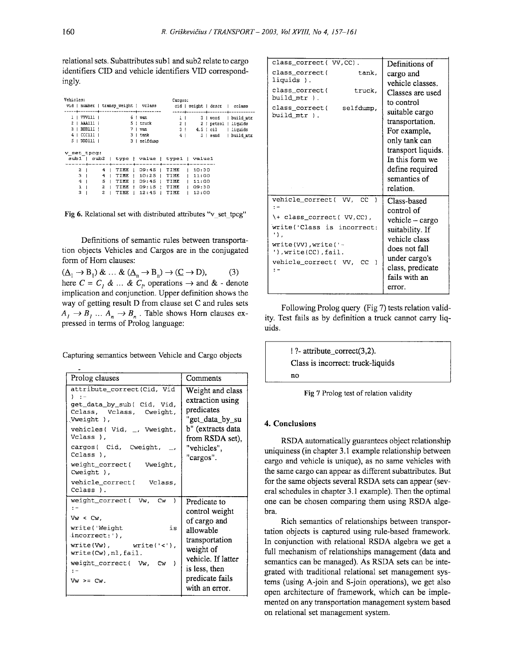relational sets. Subattributes sub1 and sub2 relate to cargo identifiers CID and vehicle identifiers VID correspondingly.

| Vehicles:                             |                                             | Cargos:        |                               |
|---------------------------------------|---------------------------------------------|----------------|-------------------------------|
|                                       | vid   number   transp weight   vclass       |                | cid   weight   descr   cclass |
|                                       |                                             |                | -----+--------+------         |
| 1   VVVIII                            | 6   van                                     | 11             | ∣ build mtm<br>3 I wood       |
| 2   AAA111                            | 5   truck                                   | 2 <sub>1</sub> | 2   petrol   liquids          |
| 3   BEB111                            | $7 + v$ an                                  | 3 <sub>1</sub> | 4.5   oil<br>  liguids        |
| $4$   CCC111                          | $3 + \text{rank}$                           | 4 <sup>1</sup> | $3$ sand<br>  build at:       |
| ו 111001 ו 5                          | 3   selfdump                                |                |                               |
| v set tpcq:                           | sub1   sub2   type   value   type1   value1 |                |                               |
| 2.                                    | 4   TIME   09:45   TIME                     | 10:30          |                               |
| 31<br>4                               | $10:25$ $\top$ TIME<br>TIME 1               | 11:00          |                               |
| 5<br>4<br>$\blacksquare$              | TIME !<br>09:45 1 TIME                      | 11:00          |                               |
| 2 <sub>1</sub><br>ı<br>$\blacksquare$ | TIME ! 09:15 ! TIME                         | 09:30          |                               |
| 3.<br>$\overline{c}$                  | TIME<br>12:45                               | TIME<br>13:00  |                               |

Fig 6. Relational set with distributed attributes "v set tpcg"

Definitions of semantic rules between transportation objects Vehicles and Cargos are in the conjugated form of Horn clauses:

 $(\underline{A}_1 \rightarrow B_1) \& \dots \& (\underline{A}_n \rightarrow B_n) \rightarrow (\underline{C} \rightarrow D),$  $(3)$ here  $C = C_1 \& \dots \& C_n$  operations  $\rightarrow$  and  $\&$  - denote implication and conjunction. Upper definition shows the way of getting result D from clause set C and rules sets  $A_1 \rightarrow B_1 \dots A_n \rightarrow B_n$ . Table shows Horn clauses expressed in terms of Prolog language:

Capturing semantics between Vehicle and Cargo objects

| Prolog clauses                                                                                                                                                                                                                                                                              | Comments                                                                                                                                                               |
|---------------------------------------------------------------------------------------------------------------------------------------------------------------------------------------------------------------------------------------------------------------------------------------------|------------------------------------------------------------------------------------------------------------------------------------------------------------------------|
| attribute_correct(Cid, Vid<br>$1 \cdot -$<br>get_data_by_sub( Cid, Vid,<br>Cclass, Vclass, Cweight,<br>Vweight),<br>vehicles ( $Vid, \_$ , Vweight,<br>Vclass ),<br>cargos( Cid, Cweight, _,<br>Cclass),<br>weight_correct( Vweight,<br>Cweight ),<br>vehicle_correct( Vclass,<br>Cclass ). | Weight and class<br>extraction using<br>predicates<br>"get_data_by_su<br>b" (extracts data<br>from RSDA set),<br>"vehicles".<br>"cargos".                              |
| weight_correct( Vw, Cw<br>Υ<br>$\mathbf{r}$ –<br>$Vw < Cw$ .<br>write ( Weight<br>is<br>$incorrect:')$ .<br>$write(Vw)$ , $write('<-)$ ,<br>write(Cw), nl, fail.<br>weight correct( Vw, Cw<br><sup>)</sup><br>$Vw$ >= $Cw$ .                                                                | Predicate to<br>control weight<br>of cargo and<br>allowable<br>transportation<br>weight of<br>vehicle. If latter<br>is less, then<br>predicate fails<br>with an error. |

| class_correct(VV,CC).                                                                                                                                                                    | Definitions of                                                                                                                                                            |
|------------------------------------------------------------------------------------------------------------------------------------------------------------------------------------------|---------------------------------------------------------------------------------------------------------------------------------------------------------------------------|
| class_correct(<br>tank.<br>liquids ).                                                                                                                                                    | cargo and<br>vehicle classes.                                                                                                                                             |
| class correct(<br>truck,<br>build mtr ).                                                                                                                                                 | Classes are used                                                                                                                                                          |
| class_correct(<br>selfdump,<br>build mtr ).                                                                                                                                              | to control<br>suitable cargo<br>transportation.<br>For example,<br>only tank can<br>transport liquids.<br>In this form we<br>define required<br>semantics of<br>relation. |
| vehicle_correct( VV,<br>CC.<br>\+ class_correct( VV,CC),<br>write('Class is incorrect:<br>٠١.<br>write(VV), write('-<br>'), write(CC), fail.<br>vehicle_correct( VV, CC<br>$\rightarrow$ | Class-based<br>control of<br>vehicle – cargo<br>suitability. If<br>vehicle class<br>does not fall<br>under cargo's<br>class, predicate<br>fails with an<br>error.         |

Following Prolog query (Fig 7) tests relation validity. Test fails as by definition a truck cannot carry liquids.

> ! ?- attribute\_correct(3,2). Class is incorrect: truck-liquids  $no$

Fig 7 Prolog test of relation validity

# 4. Conclusions

RSDA automatically guarantees object relationship uniquiness (in chapter 3.1 example relationship between cargo and vehicle is unique), as no same vehicles with the same cargo can appear as different subattributes. But for the same objects several RSDA sets can appear (several schedules in chapter 3.1 example). Then the optimal one can be chosen comparing them using RSDA algebra.

Rich semantics of relationships between transportation objects is captured using rule-based framework. In conjunction with relational RSDA algebra we get a full mechanism of relationships management (data and semantics can be managed). As RSDA sets can be integrated with traditional relational set management systems (using A-join and S-join operations), we get also open architecture of framework, which can be implemented on any transportation management system based on relational set management system.